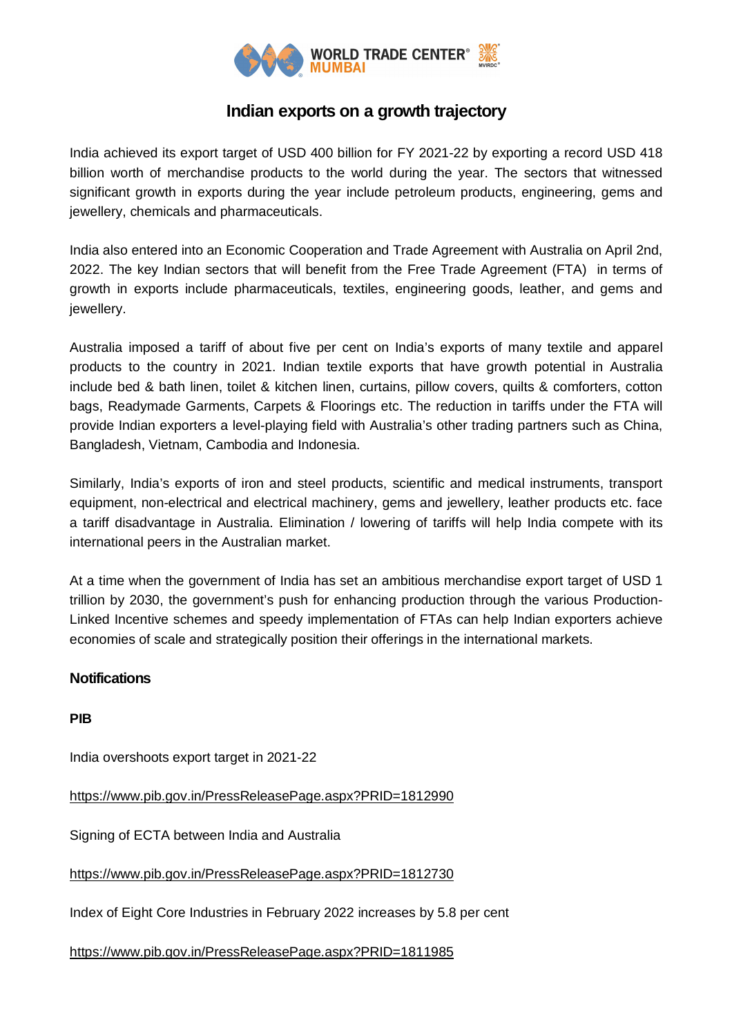

## **Indian exports on a growth trajectory**

India achieved its export target of USD 400 billion for FY 2021-22 by exporting a record USD 418 billion worth of merchandise products to the world during the year. The sectors that witnessed significant growth in exports during the year include petroleum products, engineering, gems and jewellery, chemicals and pharmaceuticals.

India also entered into an Economic Cooperation and Trade Agreement with Australia on April 2nd, 2022. The key Indian sectors that will benefit from the Free Trade Agreement (FTA) in terms of growth in exports include pharmaceuticals, textiles, engineering goods, leather, and gems and jewellery.

Australia imposed a tariff of about five per cent on India's exports of many textile and apparel products to the country in 2021. Indian textile exports that have growth potential in Australia include bed & bath linen, toilet & kitchen linen, curtains, pillow covers, quilts & comforters, cotton bags, Readymade Garments, Carpets & Floorings etc. The reduction in tariffs under the FTA will provide Indian exporters a level-playing field with Australia's other trading partners such as China, Bangladesh, Vietnam, Cambodia and Indonesia.

Similarly, India's exports of iron and steel products, scientific and medical instruments, transport equipment, non-electrical and electrical machinery, gems and jewellery, leather products etc. face a tariff disadvantage in Australia. Elimination / lowering of tariffs will help India compete with its international peers in the Australian market.

At a time when the government of India has set an ambitious merchandise export target of USD 1 trillion by 2030, the government's push for enhancing production through the various Production-Linked Incentive schemes and speedy implementation of FTAs can help Indian exporters achieve economies of scale and strategically position their offerings in the international markets.

## **Notifications**

**PIB**

India overshoots export target in 2021-22

https://www.pib.gov.in/PressReleasePage.aspx?PRID=1812990

Signing of ECTA between India and Australia

https://www.pib.gov.in/PressReleasePage.aspx?PRID=1812730

Index of Eight Core Industries in February 2022 increases by 5.8 per cent

https://www.pib.gov.in/PressReleasePage.aspx?PRID=1811985